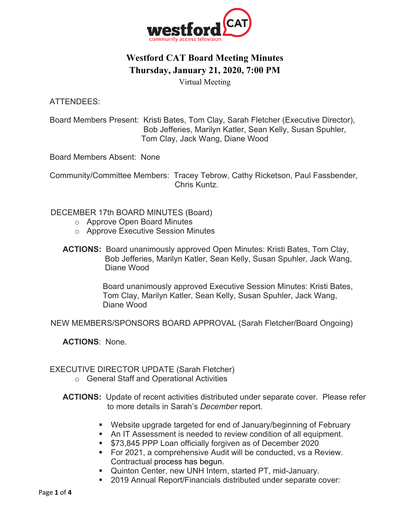

# **Westford CAT Board Meeting Minutes Thursday, January 21, 2020, 7:00 PM**

Virtual Meeting

ATTENDEES:

Board Members Present: Kristi Bates, Tom Clay, Sarah Fletcher (Executive Director), Bob Jefferies, Marilyn Katler, Sean Kelly, Susan Spuhler, Tom Clay, Jack Wang, Diane Wood

Board Members Absent: None

 Community/Committee Members: Tracey Tebrow, Cathy Ricketson, Paul Fassbender, Chris Kuntz.

DECEMBER 17th BOARD MINUTES (Board)

- o Approve Open Board Minutes
- o Approve Executive Session Minutes
- **ACTIONS:** Board unanimously approved Open Minutes: Kristi Bates, Tom Clay, Bob Jefferies, Marilyn Katler, Sean Kelly, Susan Spuhler, Jack Wang, Diane Wood

 Board unanimously approved Executive Session Minutes: Kristi Bates, Tom Clay, Marilyn Katler, Sean Kelly, Susan Spuhler, Jack Wang, Diane Wood

NEW MEMBERS/SPONSORS BOARD APPROVAL (Sarah Fletcher/Board Ongoing)

**ACTIONS**: None.

#### EXECUTIVE DIRECTOR UPDATE (Sarah Fletcher)

- o General Staff and Operational Activities
- **ACTIONS:** Update of recent activities distributed under separate cover. Please refer to more details in Sarah's *December* report.
	- Website upgrade targeted for end of January/beginning of February
	- An IT Assessment is needed to review condition of all equipment.
	- \$73,845 PPP Loan officially forgiven as of December 2020
	- For 2021, a comprehensive Audit will be conducted, vs a Review. Contractual process has begun.
	- Quinton Center, new UNH Intern, started PT, mid-January.
	- 2019 Annual Report/Financials distributed under separate cover: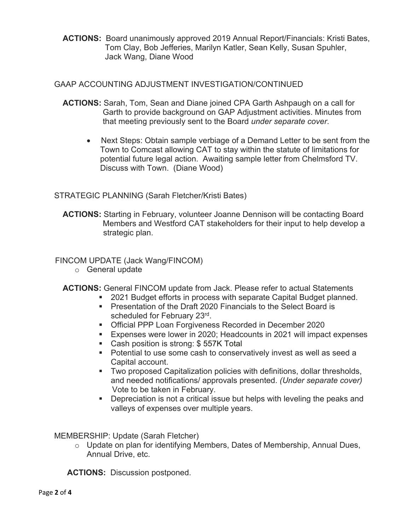**ACTIONS:** Board unanimously approved 2019 Annual Report/Financials: Kristi Bates, Tom Clay, Bob Jefferies, Marilyn Katler, Sean Kelly, Susan Spuhler, Jack Wang, Diane Wood

#### GAAP ACCOUNTING ADJUSTMENT INVESTIGATION/CONTINUED

- **ACTIONS:** Sarah, Tom, Sean and Diane joined CPA Garth Ashpaugh on a call for Garth to provide background on GAP Adjustment activities. Minutes from that meeting previously sent to the Board *under separate cover*.
	- Next Steps: Obtain sample verbiage of a Demand Letter to be sent from the Town to Comcast allowing CAT to stay within the statute of limitations for potential future legal action. Awaiting sample letter from Chelmsford TV. Discuss with Town. (Diane Wood)

### STRATEGIC PLANNING (Sarah Fletcher/Kristi Bates)

**ACTIONS:** Starting in February, volunteer Joanne Dennison will be contacting Board Members and Westford CAT stakeholders for their input to help develop a strategic plan.

#### FINCOM UPDATE (Jack Wang/FINCOM)

- o General update
- **ACTIONS:** General FINCOM update from Jack. Please refer to actual Statements
	- 2021 Budget efforts in process with separate Capital Budget planned.
	- Presentation of the Draft 2020 Financials to the Select Board is scheduled for February 23rd.
	- Official PPP Loan Forgiveness Recorded in December 2020
	- Expenses were lower in 2020; Headcounts in 2021 will impact expenses
	- Cash position is strong: \$557K Total
	- Potential to use some cash to conservatively invest as well as seed a Capital account.
	- § Two proposed Capitalization policies with definitions, dollar thresholds, and needed notifications/ approvals presented. *(Under separate cover)* Vote to be taken in February.
	- Depreciation is not a critical issue but helps with leveling the peaks and valleys of expenses over multiple years.

MEMBERSHIP: Update (Sarah Fletcher)

o Update on plan for identifying Members, Dates of Membership, Annual Dues, Annual Drive, etc.

 **ACTIONS:** Discussion postponed.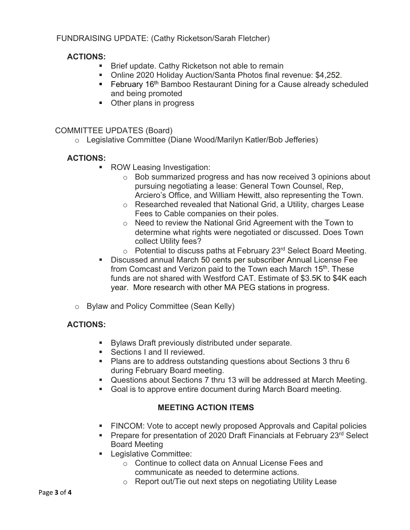### FUNDRAISING UPDATE: (Cathy Ricketson/Sarah Fletcher)

#### **ACTIONS:**

- Brief update. Cathy Ricketson not able to remain
- Online 2020 Holiday Auction/Santa Photos final revenue: \$4,252.
- February 16<sup>th</sup> Bamboo Restaurant Dining for a Cause already scheduled and being promoted
- Other plans in progress

#### COMMITTEE UPDATES (Board)

o Legislative Committee (Diane Wood/Marilyn Katler/Bob Jefferies)

#### **ACTIONS:**

- ROW Leasing Investigation:
	- o Bob summarized progress and has now received 3 opinions about pursuing negotiating a lease: General Town Counsel, Rep, Arciero's Office, and William Hewitt, also representing the Town.
	- o Researched revealed that National Grid, a Utility, charges Lease Fees to Cable companies on their poles.
	- o Need to review the National Grid Agreement with the Town to determine what rights were negotiated or discussed. Does Town collect Utility fees?
	- $\circ$  Potential to discuss paths at February 23<sup>rd</sup> Select Board Meeting.
- Discussed annual March 50 cents per subscriber Annual License Fee from Comcast and Verizon paid to the Town each March 15<sup>th</sup>. These funds are not shared with Westford CAT. Estimate of \$3.5K to \$4K each year. More research with other MA PEG stations in progress.
- o Bylaw and Policy Committee (Sean Kelly)

#### **ACTIONS:**

- Bylaws Draft previously distributed under separate.
- Sections I and II reviewed.
- § Plans are to address outstanding questions about Sections 3 thru 6 during February Board meeting.
- Questions about Sections 7 thru 13 will be addressed at March Meeting.
- Goal is to approve entire document during March Board meeting.

## **MEETING ACTION ITEMS**

- **FINCOM:** Vote to accept newly proposed Approvals and Capital policies
- Prepare for presentation of 2020 Draft Financials at February 23<sup>rd</sup> Select Board Meeting
- Legislative Committee:
	- o Continue to collect data on Annual License Fees and communicate as needed to determine actions.
	- o Report out/Tie out next steps on negotiating Utility Lease